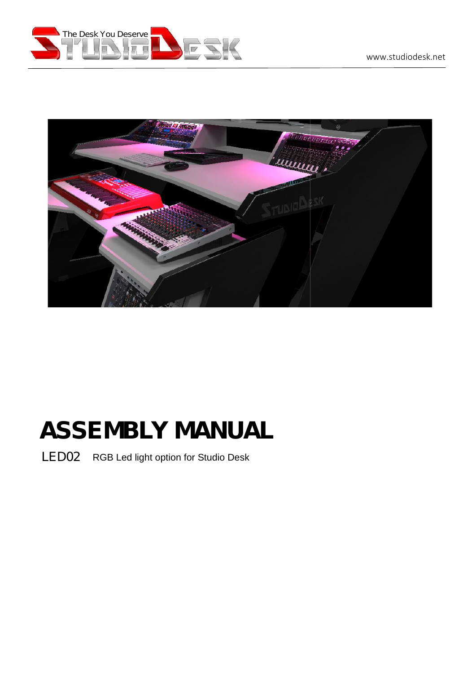



# **ASSEMBLY MANUAL**

LED02 RGB Led light option for Studio Desk development of the state of the state of the state of the state of LED02 RGB Led light option for Studio Desk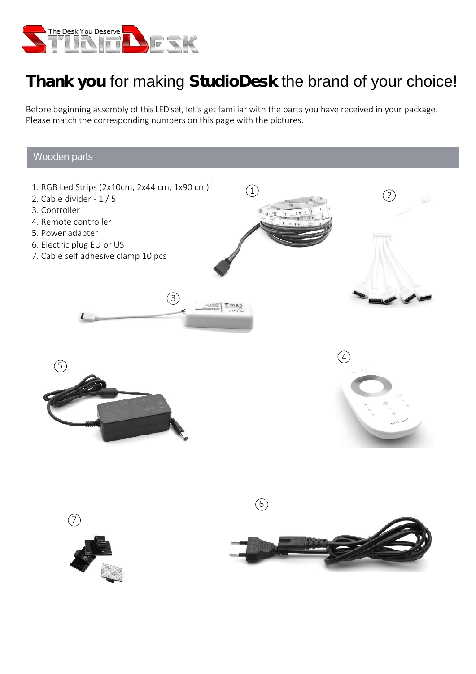

## **Thank you** for making **StudioDesk** the brand of your choice!

Before beginning assembly of this LED set, let's get familiar with the parts you have received in your package.<br>Please match the corresponding numbers on this page with the pictures. Please match the corresponding numbers on this page with the pictures.

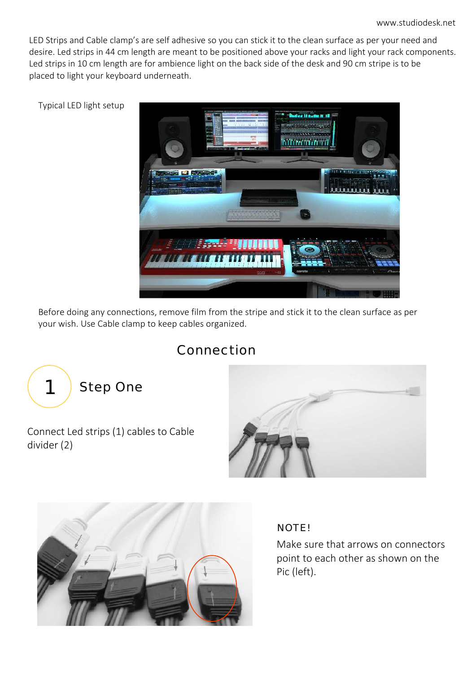LED Strips and Cable clamp's are self adhesive so you can stick it to the clean surface as per your need and desire. Led strips in 44 cm length are meant to be positioned above your racks and light your rack components. Led strips in 10 cm length are for ambience light on the back side of the desk and 90 cm stripe is to be placed to light your keyboard underneath.



Before doing any connections, remove film from the stripe and stick it to the clean surface as per your wish. Use Cable clamp to keep cables organized.

## Connection







### NOTE!

Make sure that arrows on connectors point to each other as shown on the Pic (left).